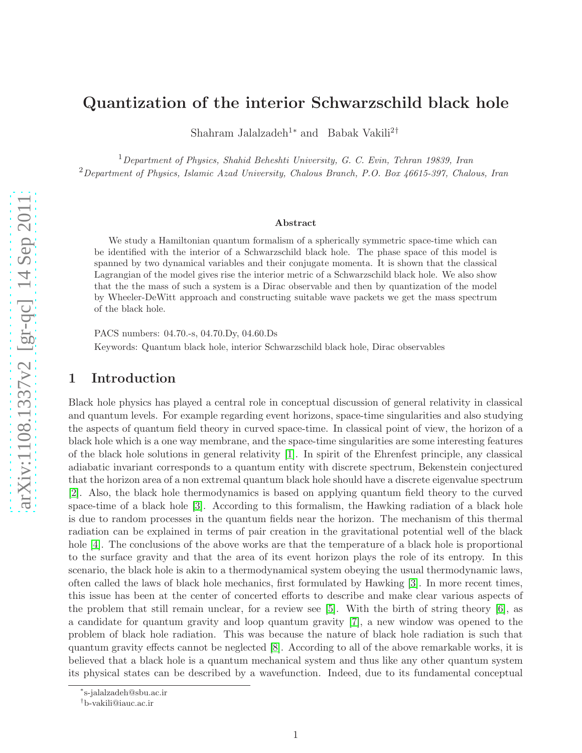# Quantization of the interior Schwarzschild black hole

Shahram Jalalzadeh<sup>1\*</sup> and Babak Vakili<sup>2†</sup>

 $1$ Department of Physics, Shahid Beheshti University, G. C. Evin, Tehran 19839, Iran  $2$ Department of Physics, Islamic Azad University, Chalous Branch, P.O. Box 46615-397, Chalous, Iran

#### Abstract

We study a Hamiltonian quantum formalism of a spherically symmetric space-time which can be identified with the interior of a Schwarzschild black hole. The phase space of this model is spanned by two dynamical variables and their conjugate momenta. It is shown that the classical Lagrangian of the model gives rise the interior metric of a Schwarzschild black hole. We also show that the the mass of such a system is a Dirac observable and then by quantization of the model by Wheeler-DeWitt approach and constructing suitable wave packets we get the mass spectrum of the black hole.

PACS numbers: 04.70.-s, 04.70.Dy, 04.60.Ds

Keywords: Quantum black hole, interior Schwarzschild black hole, Dirac observables

### 1 Introduction

Black hole physics has played a central role in conceptual discussion of general relativity in classical and quantum levels. For example regarding event horizons, space-time singularities and also studying the aspects of quantum field theory in curved space-time. In classical point of view, the horizon of a black hole which is a one way membrane, and the space-time singularities are some interesting features of the black hole solutions in general relativity [\[1\]](#page-10-0). In spirit of the Ehrenfest principle, any classical adiabatic invariant corresponds to a quantum entity with discrete spectrum, Bekenstein conjectured that the horizon area of a non extremal quantum black hole should have a discrete eigenvalue spectrum [\[2\]](#page-10-1). Also, the black hole thermodynamics is based on applying quantum field theory to the curved space-time of a black hole [\[3\]](#page-10-2). According to this formalism, the Hawking radiation of a black hole is due to random processes in the quantum fields near the horizon. The mechanism of this thermal radiation can be explained in terms of pair creation in the gravitational potential well of the black hole [\[4\]](#page-10-3). The conclusions of the above works are that the temperature of a black hole is proportional to the surface gravity and that the area of its event horizon plays the role of its entropy. In this scenario, the black hole is akin to a thermodynamical system obeying the usual thermodynamic laws, often called the laws of black hole mechanics, first formulated by Hawking [\[3\]](#page-10-2). In more recent times, this issue has been at the center of concerted efforts to describe and make clear various aspects of the problem that still remain unclear, for a review see [\[5\]](#page-10-4). With the birth of string theory [\[6\]](#page-10-5), as a candidate for quantum gravity and loop quantum gravity [\[7\]](#page-10-6), a new window was opened to the problem of black hole radiation. This was because the nature of black hole radiation is such that quantum gravity effects cannot be neglected [\[8\]](#page-10-7). According to all of the above remarkable works, it is believed that a black hole is a quantum mechanical system and thus like any other quantum system its physical states can be described by a wavefunction. Indeed, due to its fundamental conceptual

<sup>∗</sup> s-jalalzadeh@sbu.ac.ir

<sup>†</sup> b-vakili@iauc.ac.ir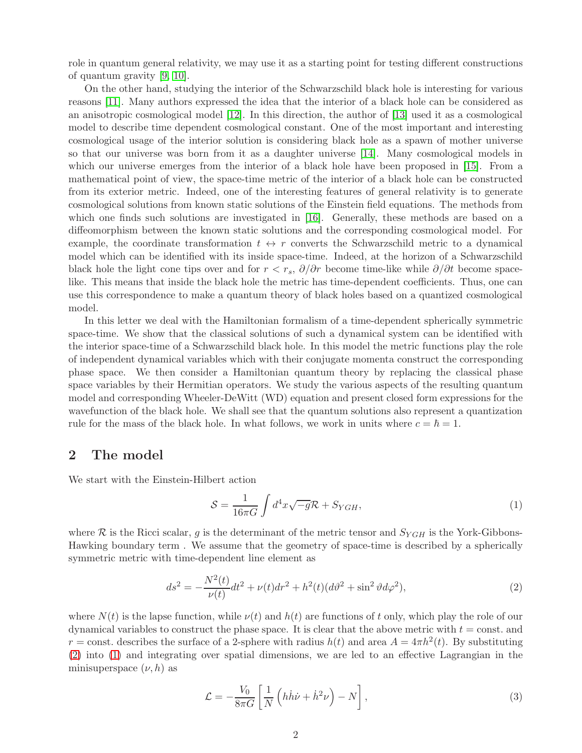role in quantum general relativity, we may use it as a starting point for testing different constructions of quantum gravity [\[9,](#page-10-8) [10\]](#page-10-9).

On the other hand, studying the interior of the Schwarzschild black hole is interesting for various reasons [\[11\]](#page-11-0). Many authors expressed the idea that the interior of a black hole can be considered as an anisotropic cosmological model [\[12\]](#page-11-1). In this direction, the author of [\[13\]](#page-11-2) used it as a cosmological model to describe time dependent cosmological constant. One of the most important and interesting cosmological usage of the interior solution is considering black hole as a spawn of mother universe so that our universe was born from it as a daughter universe [\[14\]](#page-11-3). Many cosmological models in which our universe emerges from the interior of a black hole have been proposed in [\[15\]](#page-11-4). From a mathematical point of view, the space-time metric of the interior of a black hole can be constructed from its exterior metric. Indeed, one of the interesting features of general relativity is to generate cosmological solutions from known static solutions of the Einstein field equations. The methods from which one finds such solutions are investigated in [\[16\]](#page-11-5). Generally, these methods are based on a diffeomorphism between the known static solutions and the corresponding cosmological model. For example, the coordinate transformation  $t \leftrightarrow r$  converts the Schwarzschild metric to a dynamical model which can be identified with its inside space-time. Indeed, at the horizon of a Schwarzschild black hole the light cone tips over and for  $r < r_s$ ,  $\partial/\partial r$  become time-like while  $\partial/\partial t$  become spacelike. This means that inside the black hole the metric has time-dependent coefficients. Thus, one can use this correspondence to make a quantum theory of black holes based on a quantized cosmological model.

In this letter we deal with the Hamiltonian formalism of a time-dependent spherically symmetric space-time. We show that the classical solutions of such a dynamical system can be identified with the interior space-time of a Schwarzschild black hole. In this model the metric functions play the role of independent dynamical variables which with their conjugate momenta construct the corresponding phase space. We then consider a Hamiltonian quantum theory by replacing the classical phase space variables by their Hermitian operators. We study the various aspects of the resulting quantum model and corresponding Wheeler-DeWitt (WD) equation and present closed form expressions for the wavefunction of the black hole. We shall see that the quantum solutions also represent a quantization rule for the mass of the black hole. In what follows, we work in units where  $c = \hbar = 1$ .

#### 2 The model

We start with the Einstein-Hilbert action

<span id="page-1-1"></span>
$$
S = \frac{1}{16\pi G} \int d^4x \sqrt{-g} \mathcal{R} + S_{YGH}, \qquad (1)
$$

where R is the Ricci scalar, g is the determinant of the metric tensor and  $S_{YGH}$  is the York-Gibbons-Hawking boundary term . We assume that the geometry of space-time is described by a spherically symmetric metric with time-dependent line element as

<span id="page-1-0"></span>
$$
ds^{2} = -\frac{N^{2}(t)}{\nu(t)}dt^{2} + \nu(t)dr^{2} + h^{2}(t)(d\vartheta^{2} + \sin^{2}\vartheta d\varphi^{2}),
$$
\n(2)

where  $N(t)$  is the lapse function, while  $\nu(t)$  and  $h(t)$  are functions of t only, which play the role of our dynamical variables to construct the phase space. It is clear that the above metric with  $t = \text{const.}$  and  $r = \text{const.}$  describes the surface of a 2-sphere with radius  $h(t)$  and area  $A = 4\pi h^2(t)$ . By substituting [\(2\)](#page-1-0) into [\(1\)](#page-1-1) and integrating over spatial dimensions, we are led to an effective Lagrangian in the minisuperspace  $(\nu, h)$  as

<span id="page-1-2"></span>
$$
\mathcal{L} = -\frac{V_0}{8\pi G} \left[ \frac{1}{N} \left( h \dot{h} \dot{\nu} + \dot{h}^2 \nu \right) - N \right],\tag{3}
$$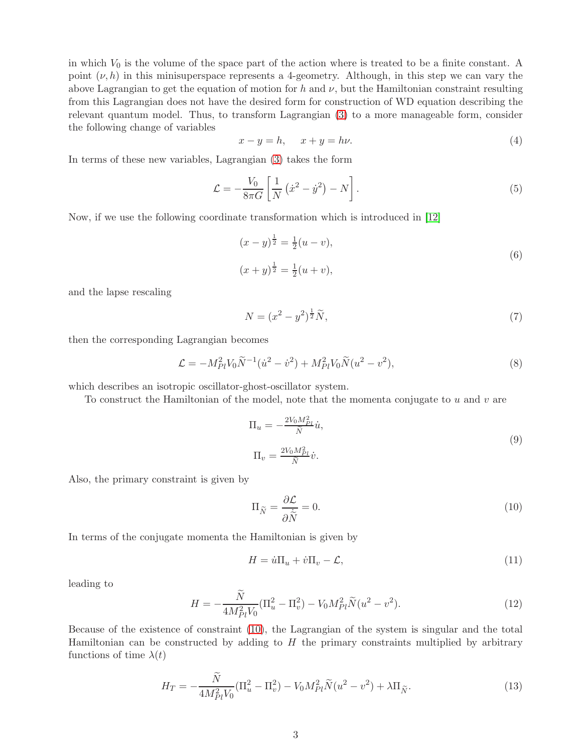in which  $V_0$  is the volume of the space part of the action where is treated to be a finite constant. A point  $(\nu, h)$  in this minisuperspace represents a 4-geometry. Although, in this step we can vary the above Lagrangian to get the equation of motion for h and  $\nu$ , but the Hamiltonian constraint resulting from this Lagrangian does not have the desired form for construction of WD equation describing the relevant quantum model. Thus, to transform Lagrangian [\(3\)](#page-1-2) to a more manageable form, consider the following change of variables

<span id="page-2-1"></span>
$$
x - y = h, \quad x + y = h\nu. \tag{4}
$$

In terms of these new variables, Lagrangian [\(3\)](#page-1-2) takes the form

$$
\mathcal{L} = -\frac{V_0}{8\pi G} \left[ \frac{1}{N} \left( \dot{x}^2 - \dot{y}^2 \right) - N \right]. \tag{5}
$$

Now, if we use the following coordinate transformation which is introduced in [\[12\]](#page-11-1)

<span id="page-2-2"></span>
$$
(x - y)^{\frac{1}{2}} = \frac{1}{2}(u - v),
$$
  
\n
$$
(x + y)^{\frac{1}{2}} = \frac{1}{2}(u + v),
$$
\n(6)

and the lapse rescaling

<span id="page-2-5"></span>
$$
N = (x^2 - y^2)^{\frac{1}{2}} \tilde{N},\tag{7}
$$

then the corresponding Lagrangian becomes

<span id="page-2-4"></span>
$$
\mathcal{L} = -M_{Pl}^2 V_0 \tilde{N}^{-1} (\dot{u}^2 - \dot{v}^2) + M_{Pl}^2 V_0 \tilde{N} (u^2 - v^2), \tag{8}
$$

which describes an isotropic oscillator-ghost-oscillator system.

To construct the Hamiltonian of the model, note that the momenta conjugate to  $u$  and  $v$  are

<span id="page-2-3"></span>
$$
\Pi_u = -\frac{2V_0 M_{Pl}^2}{\tilde{N}} \dot{u},
$$
\n
$$
\Pi_v = \frac{2V_0 M_{Pl}^2}{\tilde{N}} \dot{v}.
$$
\n(9)

Also, the primary constraint is given by

<span id="page-2-0"></span>
$$
\Pi_{\widetilde{N}} = \frac{\partial \mathcal{L}}{\partial \widetilde{N}} = 0. \tag{10}
$$

In terms of the conjugate momenta the Hamiltonian is given by

$$
H = \dot{u}\Pi_u + \dot{v}\Pi_v - \mathcal{L},\tag{11}
$$

leading to

$$
H = -\frac{N}{4M_{Pl}^2 V_0} (\Pi_u^2 - \Pi_v^2) - V_0 M_{Pl}^2 \tilde{N}(u^2 - v^2).
$$
 (12)

Because of the existence of constraint [\(10\)](#page-2-0), the Lagrangian of the system is singular and the total Hamiltonian can be constructed by adding to  $H$  the primary constraints multiplied by arbitrary functions of time  $\lambda(t)$ 

$$
H_T = -\frac{\dot{N}}{4M_{Pl}^2 V_0} (\Pi_u^2 - \Pi_v^2) - V_0 M_{Pl}^2 \tilde{N}(u^2 - v^2) + \lambda \Pi_{\tilde{N}}.
$$
\n(13)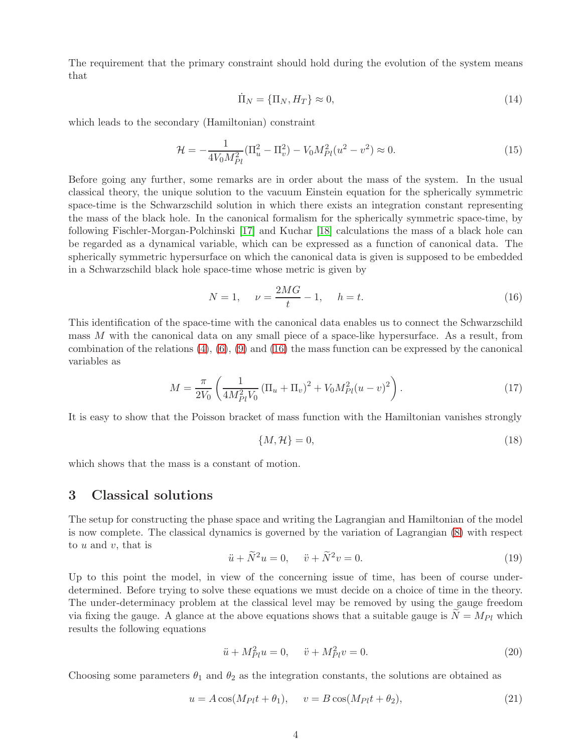The requirement that the primary constraint should hold during the evolution of the system means that

$$
\dot{\Pi}_N = \{\Pi_N, H_T\} \approx 0,\tag{14}
$$

which leads to the secondary (Hamiltonian) constraint

<span id="page-3-2"></span>
$$
\mathcal{H} = -\frac{1}{4V_0 M_{Pl}^2} (\Pi_u^2 - \Pi_v^2) - V_0 M_{Pl}^2 (u^2 - v^2) \approx 0.
$$
\n(15)

Before going any further, some remarks are in order about the mass of the system. In the usual classical theory, the unique solution to the vacuum Einstein equation for the spherically symmetric space-time is the Schwarzschild solution in which there exists an integration constant representing the mass of the black hole. In the canonical formalism for the spherically symmetric space-time, by following Fischler-Morgan-Polchinski [\[17\]](#page-11-6) and Kuchar [\[18\]](#page-11-7) calculations the mass of a black hole can be regarded as a dynamical variable, which can be expressed as a function of canonical data. The spherically symmetric hypersurface on which the canonical data is given is supposed to be embedded in a Schwarzschild black hole space-time whose metric is given by

<span id="page-3-0"></span>
$$
N = 1, \quad \nu = \frac{2MG}{t} - 1, \quad h = t.
$$
\n(16)

This identification of the space-time with the canonical data enables us to connect the Schwarzschild mass M with the canonical data on any small piece of a space-like hypersurface. As a result, from combination of the relations  $(4)$ ,  $(6)$ ,  $(9)$  and  $(16)$  the mass function can be expressed by the canonical variables as

$$
M = \frac{\pi}{2V_0} \left( \frac{1}{4M_{Pl}^2 V_0} \left( \Pi_u + \Pi_v \right)^2 + V_0 M_{Pl}^2 (u - v)^2 \right). \tag{17}
$$

It is easy to show that the Poisson bracket of mass function with the Hamiltonian vanishes strongly

$$
\{M, \mathcal{H}\} = 0,\tag{18}
$$

which shows that the mass is a constant of motion.

#### 3 Classical solutions

The setup for constructing the phase space and writing the Lagrangian and Hamiltonian of the model is now complete. The classical dynamics is governed by the variation of Lagrangian [\(8\)](#page-2-4) with respect to  $u$  and  $v$ , that is

$$
\ddot{u} + \widetilde{N}^2 u = 0, \quad \ddot{v} + \widetilde{N}^2 v = 0. \tag{19}
$$

Up to this point the model, in view of the concerning issue of time, has been of course underdetermined. Before trying to solve these equations we must decide on a choice of time in the theory. The under-determinacy problem at the classical level may be removed by using the gauge freedom via fixing the gauge. A glance at the above equations shows that a suitable gauge is  $N = M_{Pl}$  which results the following equations

$$
\ddot{u} + M_{Pl}^2 u = 0, \quad \ddot{v} + M_{Pl}^2 v = 0.
$$
\n(20)

Choosing some parameters  $\theta_1$  and  $\theta_2$  as the integration constants, the solutions are obtained as

<span id="page-3-1"></span>
$$
u = A\cos(M_{Pl}t + \theta_1), \quad v = B\cos(M_{Pl}t + \theta_2), \tag{21}
$$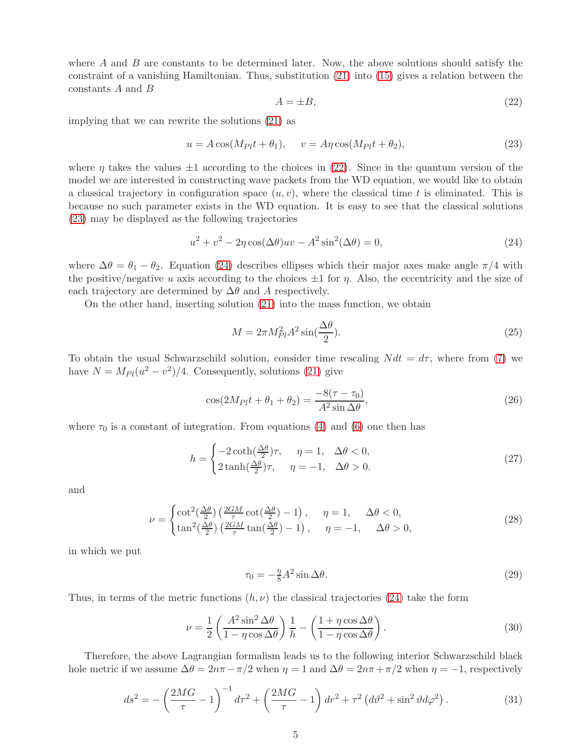where  $A$  and  $B$  are constants to be determined later. Now, the above solutions should satisfy the constraint of a vanishing Hamiltonian. Thus, substitution [\(21\)](#page-3-1) into [\(15\)](#page-3-2) gives a relation between the constants  $A$  and  $B$ 

<span id="page-4-0"></span>
$$
A = \pm B,\tag{22}
$$

implying that we can rewrite the solutions [\(21\)](#page-3-1) as

<span id="page-4-1"></span>
$$
u = A\cos(M_{Pl}t + \theta_1), \quad v = A\eta\cos(M_{Pl}t + \theta_2), \tag{23}
$$

where  $\eta$  takes the values  $\pm 1$  according to the choices in [\(22\)](#page-4-0). Since in the quantum version of the model we are interested in constructing wave packets from the WD equation, we would like to obtain a classical trajectory in configuration space  $(u, v)$ , where the classical time t is eliminated. This is because no such parameter exists in the WD equation. It is easy to see that the classical solutions [\(23\)](#page-4-1) may be displayed as the following trajectories

<span id="page-4-2"></span>
$$
u2 + v2 - 2\eta \cos(\Delta\theta)uv - A2 \sin2(\Delta\theta) = 0,
$$
\n(24)

where  $\Delta\theta = \theta_1 - \theta_2$ . Equation [\(24\)](#page-4-2) describes ellipses which their major axes make angle  $\pi/4$  with the positive/negative u axis according to the choices  $\pm 1$  for  $\eta$ . Also, the eccentricity and the size of each trajectory are determined by  $\Delta\theta$  and A respectively.

On the other hand, inserting solution [\(21\)](#page-3-1) into the mass function, we obtain

$$
M = 2\pi M_{Pl}^2 A^2 \sin(\frac{\Delta\theta}{2}).
$$
\n(25)

To obtain the usual Schwarzschild solution, consider time rescaling  $N dt = d\tau$ , where from [\(7\)](#page-2-5) we have  $N = M_{Pl}(u^2 - v^2)/4$ . Consequently, solutions [\(21\)](#page-3-1) give

$$
\cos(2M_{Pl}t + \theta_1 + \theta_2) = \frac{-8(\tau - \tau_0)}{A^2 \sin \Delta \theta},\tag{26}
$$

where  $\tau_0$  is a constant of integration. From equations [\(4\)](#page-2-1) and [\(6\)](#page-2-2) one then has

$$
h = \begin{cases} -2\coth(\frac{\Delta\theta}{2})\tau, & \eta = 1, \ \Delta\theta < 0, \\ 2\tanh(\frac{\Delta\theta}{2})\tau, & \eta = -1, \ \Delta\theta > 0. \end{cases} \tag{27}
$$

and

$$
\nu = \begin{cases} \cot^2(\frac{\Delta\theta}{2}) \left(\frac{2GM}{\tau} \cot(\frac{\Delta\theta}{2}) - 1\right), & \eta = 1, \quad \Delta\theta < 0, \\ \tan^2(\frac{\Delta\theta}{2}) \left(\frac{2GM}{\tau} \tan(\frac{\Delta\theta}{2}) - 1\right), & \eta = -1, \quad \Delta\theta > 0, \end{cases}
$$
(28)

in which we put

$$
\tau_0 = -\frac{\eta}{8} A^2 \sin \Delta \theta. \tag{29}
$$

Thus, in terms of the metric functions  $(h, \nu)$  the classical trajectories [\(24\)](#page-4-2) take the form

$$
\nu = \frac{1}{2} \left( \frac{A^2 \sin^2 \Delta \theta}{1 - \eta \cos \Delta \theta} \right) \frac{1}{h} - \left( \frac{1 + \eta \cos \Delta \theta}{1 - \eta \cos \Delta \theta} \right). \tag{30}
$$

Therefore, the above Lagrangian formalism leads us to the following interior Schwarzschild black hole metric if we assume  $\Delta\theta = 2n\pi - \pi/2$  when  $\eta = 1$  and  $\Delta\theta = 2n\pi + \pi/2$  when  $\eta = -1$ , respectively

<span id="page-4-3"></span>
$$
ds^{2} = -\left(\frac{2MG}{\tau} - 1\right)^{-1} d\tau^{2} + \left(\frac{2MG}{\tau} - 1\right) dr^{2} + \tau^{2} \left(d\vartheta^{2} + \sin^{2}\vartheta d\varphi^{2}\right).
$$
 (31)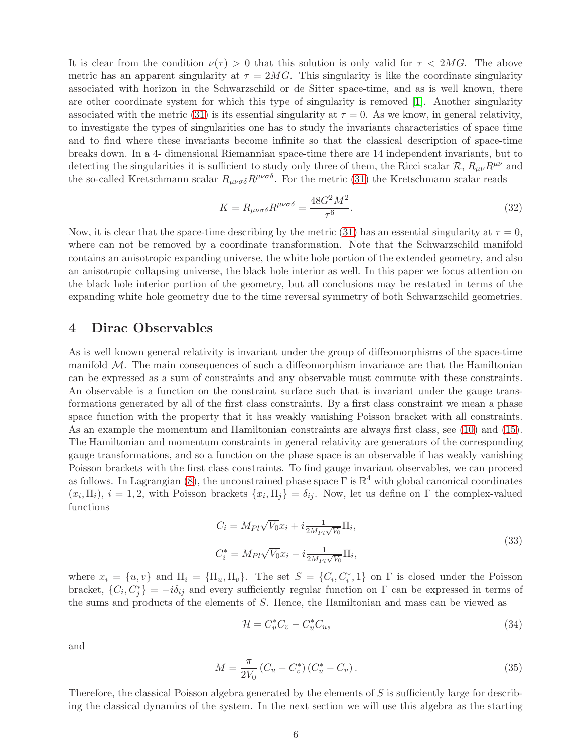It is clear from the condition  $\nu(\tau) > 0$  that this solution is only valid for  $\tau < 2MG$ . The above metric has an apparent singularity at  $\tau = 2MG$ . This singularity is like the coordinate singularity associated with horizon in the Schwarzschild or de Sitter space-time, and as is well known, there are other coordinate system for which this type of singularity is removed [\[1\]](#page-10-0). Another singularity associated with the metric [\(31\)](#page-4-3) is its essential singularity at  $\tau = 0$ . As we know, in general relativity, to investigate the types of singularities one has to study the invariants characteristics of space time and to find where these invariants become infinite so that the classical description of space-time breaks down. In a 4- dimensional Riemannian space-time there are 14 independent invariants, but to detecting the singularities it is sufficient to study only three of them, the Ricci scalar  $\mathcal{R}, R_{\mu\nu}R^{\mu\nu}$  and the so-called Kretschmann scalar  $R_{\mu\nu\sigma\delta}R^{\mu\nu\sigma\delta}$ . For the metric [\(31\)](#page-4-3) the Kretschmann scalar reads

$$
K = R_{\mu\nu\sigma\delta} R^{\mu\nu\sigma\delta} = \frac{48G^2 M^2}{\tau^6}.
$$
\n(32)

Now, it is clear that the space-time describing by the metric [\(31\)](#page-4-3) has an essential singularity at  $\tau = 0$ , where can not be removed by a coordinate transformation. Note that the Schwarzschild manifold contains an anisotropic expanding universe, the white hole portion of the extended geometry, and also an anisotropic collapsing universe, the black hole interior as well. In this paper we focus attention on the black hole interior portion of the geometry, but all conclusions may be restated in terms of the expanding white hole geometry due to the time reversal symmetry of both Schwarzschild geometries.

#### 4 Dirac Observables

As is well known general relativity is invariant under the group of diffeomorphisms of the space-time manifold  $M$ . The main consequences of such a diffeomorphism invariance are that the Hamiltonian can be expressed as a sum of constraints and any observable must commute with these constraints. An observable is a function on the constraint surface such that is invariant under the gauge transformations generated by all of the first class constraints. By a first class constraint we mean a phase space function with the property that it has weakly vanishing Poisson bracket with all constraints. As an example the momentum and Hamiltonian constraints are always first class, see [\(10\)](#page-2-0) and [\(15\)](#page-3-2). The Hamiltonian and momentum constraints in general relativity are generators of the corresponding gauge transformations, and so a function on the phase space is an observable if has weakly vanishing Poisson brackets with the first class constraints. To find gauge invariant observables, we can proceed as follows. In Lagrangian [\(8\)](#page-2-4), the unconstrained phase space  $\Gamma$  is  $\mathbb{R}^4$  with global canonical coordinates  $(x_i, \Pi_i)$ ,  $i = 1, 2$ , with Poisson brackets  $\{x_i, \Pi_j\} = \delta_{ij}$ . Now, let us define on  $\Gamma$  the complex-valued functions

$$
C_i = M_{Pl}\sqrt{V_0}x_i + i\frac{1}{2M_{Pl}\sqrt{V_0}}\Pi_i,
$$
  
\n
$$
C_i^* = M_{Pl}\sqrt{V_0}x_i - i\frac{1}{2M_{Pl}\sqrt{V_0}}\Pi_i,
$$
\n(33)

where  $x_i = \{u, v\}$  and  $\Pi_i = \{\Pi_u, \Pi_v\}$ . The set  $S = \{C_i, C_i^*, 1\}$  on  $\Gamma$  is closed under the Poisson bracket,  $\{C_i, C_j^*\} = -i\delta_{ij}$  and every sufficiently regular function on  $\Gamma$  can be expressed in terms of the sums and products of the elements of S. Hence, the Hamiltonian and mass can be viewed as

$$
\mathcal{H} = C_v^* C_v - C_u^* C_u,\tag{34}
$$

and

$$
M = \frac{\pi}{2V_0} \left( C_u - C_v^* \right) \left( C_u^* - C_v \right). \tag{35}
$$

Therefore, the classical Poisson algebra generated by the elements of S is sufficiently large for describing the classical dynamics of the system. In the next section we will use this algebra as the starting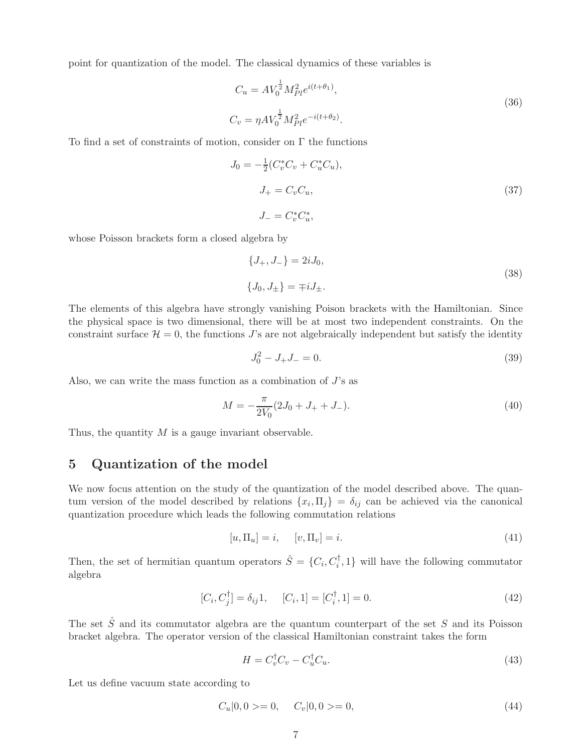point for quantization of the model. The classical dynamics of these variables is

$$
C_u = AV_0^{\frac{1}{2}} M_{Pl}^2 e^{i(t+\theta_1)},
$$
  
\n
$$
C_v = \eta AV_0^{\frac{1}{2}} M_{Pl}^2 e^{-i(t+\theta_2)}.
$$
\n(36)

To find a set of constraints of motion, consider on Γ the functions

$$
J_0 = -\frac{1}{2}(C_v^* C_v + C_u^* C_u),
$$
  
\n
$$
J_+ = C_v C_u,
$$
  
\n
$$
J_- = C_v^* C_u^*,
$$
\n(37)

whose Poisson brackets form a closed algebra by

$$
\{J_{+}, J_{-}\} = 2iJ_{0},
$$
  

$$
\{J_{0}, J_{\pm}\} = \mp iJ_{\pm}.
$$
 (38)

The elements of this algebra have strongly vanishing Poison brackets with the Hamiltonian. Since the physical space is two dimensional, there will be at most two independent constraints. On the constraint surface  $\mathcal{H} = 0$ , the functions J's are not algebraically independent but satisfy the identity

<span id="page-6-1"></span>
$$
J_0^2 - J_+ J_- = 0.\t\t(39)
$$

Also, we can write the mass function as a combination of  $J$ 's as

$$
M = -\frac{\pi}{2V_0}(2J_0 + J_+ + J_-). \tag{40}
$$

Thus, the quantity  $M$  is a gauge invariant observable.

### 5 Quantization of the model

We now focus attention on the study of the quantization of the model described above. The quantum version of the model described by relations  $\{x_i, \Pi_j\} = \delta_{ij}$  can be achieved via the canonical quantization procedure which leads the following commutation relations

$$
[u, \Pi_u] = i, \quad [v, \Pi_v] = i. \tag{41}
$$

Then, the set of hermitian quantum operators  $\hat{S} = \{C_i, C_i^{\dagger}, 1\}$  will have the following commutator algebra

$$
[C_i, C_j^{\dagger}] = \delta_{ij} 1, \quad [C_i, 1] = [C_i^{\dagger}, 1] = 0.
$$
 (42)

The set  $\hat{S}$  and its commutator algebra are the quantum counterpart of the set S and its Poisson bracket algebra. The operator version of the classical Hamiltonian constraint takes the form

<span id="page-6-0"></span>
$$
H = C_v^{\dagger} C_v - C_u^{\dagger} C_u. \tag{43}
$$

Let us define vacuum state according to

$$
C_u|0,0\rangle = 0, \quad C_v|0,0\rangle = 0,\tag{44}
$$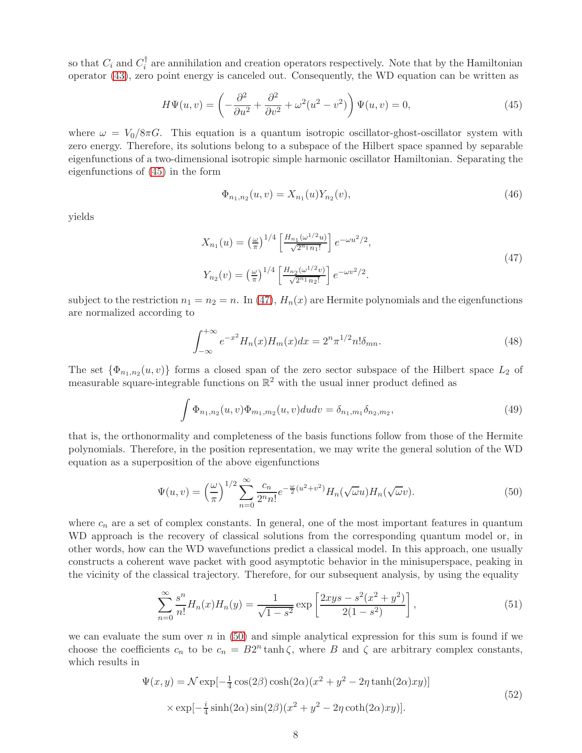so that  $C_i$  and  $C_i^{\dagger}$  are annihilation and creation operators respectively. Note that by the Hamiltonian operator [\(43\)](#page-6-0), zero point energy is canceled out. Consequently, the WD equation can be written as

<span id="page-7-0"></span>
$$
H\Psi(u,v) = \left(-\frac{\partial^2}{\partial u^2} + \frac{\partial^2}{\partial v^2} + \omega^2(u^2 - v^2)\right)\Psi(u,v) = 0,
$$
\n(45)

where  $\omega = V_0/8\pi G$ . This equation is a quantum isotropic oscillator-ghost-oscillator system with zero energy. Therefore, its solutions belong to a subspace of the Hilbert space spanned by separable eigenfunctions of a two-dimensional isotropic simple harmonic oscillator Hamiltonian. Separating the eigenfunctions of [\(45\)](#page-7-0) in the form

$$
\Phi_{n_1,n_2}(u,v) = X_{n_1}(u)Y_{n_2}(v),\tag{46}
$$

yields

<span id="page-7-1"></span>
$$
X_{n_1}(u) = \left(\frac{\omega}{\pi}\right)^{1/4} \left[\frac{H_{n_1}(\omega^{1/2}u)}{\sqrt{2^{n_1}n_1!}}\right] e^{-\omega u^2/2},
$$
  
\n
$$
Y_{n_2}(v) = \left(\frac{\omega}{\pi}\right)^{1/4} \left[\frac{H_{n_2}(\omega^{1/2}v)}{\sqrt{2^{n_1}n_2!}}\right] e^{-\omega v^2/2}.
$$
\n(47)

subject to the restriction  $n_1 = n_2 = n$ . In [\(47\)](#page-7-1),  $H_n(x)$  are Hermite polynomials and the eigenfunctions are normalized according to

$$
\int_{-\infty}^{+\infty} e^{-x^2} H_n(x) H_m(x) dx = 2^n \pi^{1/2} n! \delta_{mn}.
$$
 (48)

The set  $\{\Phi_{n_1,n_2}(u,v)\}\)$  forms a closed span of the zero sector subspace of the Hilbert space  $L_2$  of measurable square-integrable functions on  $\mathbb{R}^2$  with the usual inner product defined as

$$
\int \Phi_{n_1,n_2}(u,v)\Phi_{m_1,m_2}(u,v)dudv = \delta_{n_1,m_1}\delta_{n_2,m_2},
$$
\n(49)

that is, the orthonormality and completeness of the basis functions follow from those of the Hermite polynomials. Therefore, in the position representation, we may write the general solution of the WD equation as a superposition of the above eigenfunctions

<span id="page-7-2"></span>
$$
\Psi(u,v) = \left(\frac{\omega}{\pi}\right)^{1/2} \sum_{n=0}^{\infty} \frac{c_n}{2^n n!} e^{-\frac{\omega}{2}(u^2 + v^2)} H_n(\sqrt{\omega}u) H_n(\sqrt{\omega}v).
$$
\n(50)

where  $c_n$  are a set of complex constants. In general, one of the most important features in quantum WD approach is the recovery of classical solutions from the corresponding quantum model or, in other words, how can the WD wavefunctions predict a classical model. In this approach, one usually constructs a coherent wave packet with good asymptotic behavior in the minisuperspace, peaking in the vicinity of the classical trajectory. Therefore, for our subsequent analysis, by using the equality

$$
\sum_{n=0}^{\infty} \frac{s^n}{n!} H_n(x) H_n(y) = \frac{1}{\sqrt{1-s^2}} \exp\left[\frac{2xys - s^2(x^2 + y^2)}{2(1 - s^2)}\right],
$$
\n(51)

we can evaluate the sum over  $n$  in [\(50\)](#page-7-2) and simple analytical expression for this sum is found if we choose the coefficients  $c_n$  to be  $c_n = B2^n \tanh \zeta$ , where B and  $\zeta$  are arbitrary complex constants, which results in

$$
\Psi(x,y) = \mathcal{N} \exp\left[-\frac{1}{4}\cos(2\beta)\cosh(2\alpha)(x^2 + y^2 - 2\eta\tanh(2\alpha)xy)\right]
$$
  
 
$$
\times \exp\left[-\frac{i}{4}\sinh(2\alpha)\sin(2\beta)(x^2 + y^2 - 2\eta\coth(2\alpha)xy)\right].
$$
 (52)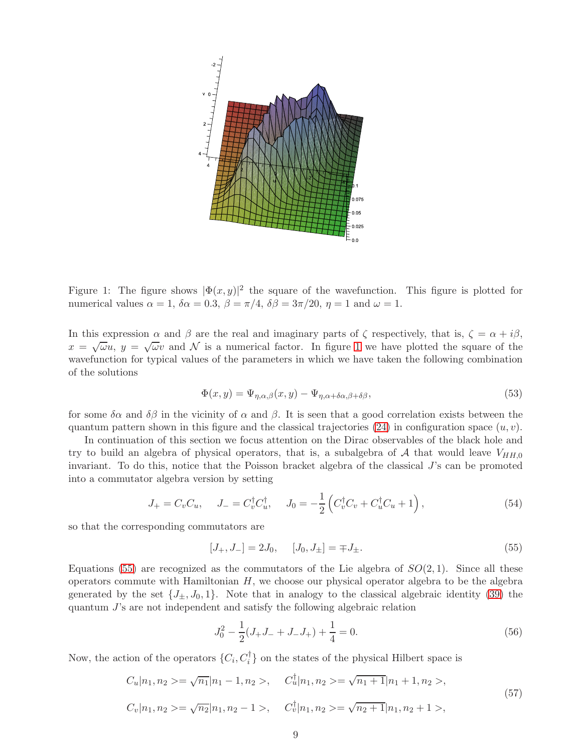

<span id="page-8-0"></span>Figure 1: The figure shows  $|\Phi(x, y)|^2$  the square of the wavefunction. This figure is plotted for numerical values  $\alpha = 1$ ,  $\delta \alpha = 0.3$ ,  $\beta = \pi/4$ ,  $\delta \beta = 3\pi/20$ ,  $\eta = 1$  and  $\omega = 1$ .

In this expression  $\alpha$  and  $\beta$  are the real and imaginary parts of  $\zeta$  respectively, that is,  $\zeta = \alpha + i\beta$ ,  $x = \sqrt{\omega}u$ ,  $y = \sqrt{\omega}v$  and  $\mathcal N$  is a numerical factor. In figure [1](#page-8-0) we have plotted the square of the wavefunction for typical values of the parameters in which we have taken the following combination of the solutions

$$
\Phi(x,y) = \Psi_{\eta,\alpha,\beta}(x,y) - \Psi_{\eta,\alpha+\delta\alpha,\beta+\delta\beta},\tag{53}
$$

for some  $\delta \alpha$  and  $\delta \beta$  in the vicinity of  $\alpha$  and  $\beta$ . It is seen that a good correlation exists between the quantum pattern shown in this figure and the classical trajectories [\(24\)](#page-4-2) in configuration space  $(u, v)$ .

In continuation of this section we focus attention on the Dirac observables of the black hole and try to build an algebra of physical operators, that is, a subalgebra of A that would leave  $V_{HH,0}$ invariant. To do this, notice that the Poisson bracket algebra of the classical J's can be promoted into a commutator algebra version by setting

<span id="page-8-2"></span>
$$
J_{+} = C_{v}C_{u}, \quad J_{-} = C_{v}^{\dagger}C_{u}^{\dagger}, \quad J_{0} = -\frac{1}{2} \left( C_{v}^{\dagger}C_{v} + C_{u}^{\dagger}C_{u} + 1 \right), \tag{54}
$$

so that the corresponding commutators are

<span id="page-8-1"></span>
$$
[J_+, J_-] = 2J_0, \quad [J_0, J_\pm] = \mp J_\pm. \tag{55}
$$

Equations [\(55\)](#page-8-1) are recognized as the commutators of the Lie algebra of  $SO(2,1)$ . Since all these operators commute with Hamiltonian  $H$ , we choose our physical operator algebra to be the algebra generated by the set  $\{J_+, J_0, 1\}$ . Note that in analogy to the classical algebraic identity [\(39\)](#page-6-1) the quantum J's are not independent and satisfy the following algebraic relation

$$
J_0^2 - \frac{1}{2}(J_+J_- + J_-J_+) + \frac{1}{4} = 0.
$$
\n(56)

Now, the action of the operators  $\{C_i, C_i^{\dagger}\}$  on the states of the physical Hilbert space is

$$
C_u|n_1, n_2\rangle = \sqrt{n_1}|n_1 - 1, n_2\rangle, \qquad C_u^{\dagger}|n_1, n_2\rangle = \sqrt{n_1 + 1}|n_1 + 1, n_2\rangle,
$$
  
\n
$$
C_v|n_1, n_2\rangle = \sqrt{n_2}|n_1, n_2 - 1\rangle, \qquad C_v^{\dagger}|n_1, n_2\rangle = \sqrt{n_2 + 1}|n_1, n_2 + 1\rangle,
$$
\n
$$
(57)
$$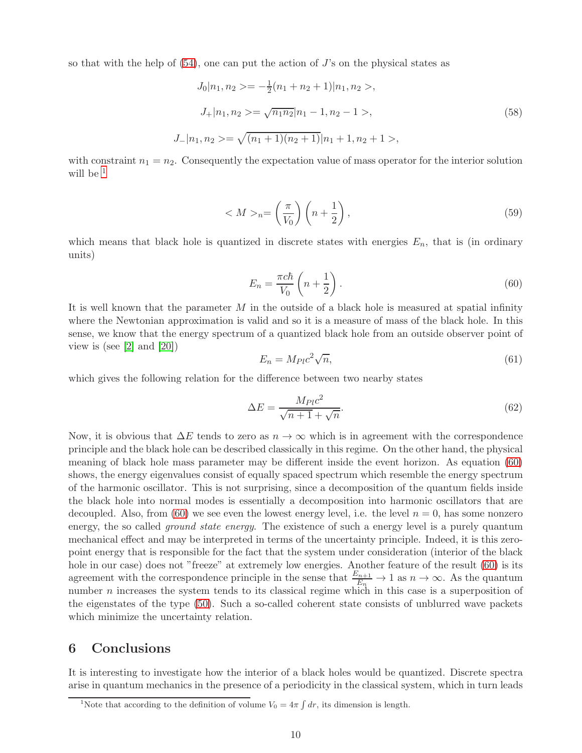so that with the help of  $(54)$ , one can put the action of J's on the physical states as

$$
J_0|n_1, n_2 \rangle = -\frac{1}{2}(n_1 + n_2 + 1)|n_1, n_2 \rangle,
$$
  
\n
$$
J_+|n_1, n_2 \rangle = \sqrt{n_1 n_2}|n_1 - 1, n_2 - 1 \rangle,
$$
  
\n
$$
J_-|n_1, n_2 \rangle = \sqrt{(n_1 + 1)(n_2 + 1)}|n_1 + 1, n_2 + 1 \rangle,
$$
\n(58)

with constraint  $n_1 = n_2$ . Consequently the expectation value of mass operator for the interior solution will be  $<sup>1</sup>$  $<sup>1</sup>$  $<sup>1</sup>$ </sup>

$$
\langle M \rangle_n = \left(\frac{\pi}{V_0}\right) \left(n + \frac{1}{2}\right),\tag{59}
$$

which means that black hole is quantized in discrete states with energies  $E_n$ , that is (in ordinary units)

<span id="page-9-1"></span>
$$
E_n = \frac{\pi c \hbar}{V_0} \left( n + \frac{1}{2} \right). \tag{60}
$$

It is well known that the parameter  $M$  in the outside of a black hole is measured at spatial infinity where the Newtonian approximation is valid and so it is a measure of mass of the black hole. In this sense, we know that the energy spectrum of a quantized black hole from an outside observer point of view is (see  $[2]$  and  $[20]$ )

$$
E_n = M_{Pl} c^2 \sqrt{n},\tag{61}
$$

which gives the following relation for the difference between two nearby states

$$
\Delta E = \frac{M_{Pl}c^2}{\sqrt{n+1} + \sqrt{n}}.\tag{62}
$$

Now, it is obvious that  $\Delta E$  tends to zero as  $n \to \infty$  which is in agreement with the correspondence principle and the black hole can be described classically in this regime. On the other hand, the physical meaning of black hole mass parameter may be different inside the event horizon. As equation [\(60\)](#page-9-1) shows, the energy eigenvalues consist of equally spaced spectrum which resemble the energy spectrum of the harmonic oscillator. This is not surprising, since a decomposition of the quantum fields inside the black hole into normal modes is essentially a decomposition into harmonic oscillators that are decoupled. Also, from [\(60\)](#page-9-1) we see even the lowest energy level, i.e. the level  $n = 0$ , has some nonzero energy, the so called *ground state energy*. The existence of such a energy level is a purely quantum mechanical effect and may be interpreted in terms of the uncertainty principle. Indeed, it is this zeropoint energy that is responsible for the fact that the system under consideration (interior of the black hole in our case) does not "freeze" at extremely low energies. Another feature of the result [\(60\)](#page-9-1) is its agreement with the correspondence principle in the sense that  $\frac{E_{n+1}}{E_n} \to 1$  as  $n \to \infty$ . As the quantum number  $n$  increases the system tends to its classical regime which in this case is a superposition of the eigenstates of the type [\(50\)](#page-7-2). Such a so-called coherent state consists of unblurred wave packets which minimize the uncertainty relation.

## 6 Conclusions

It is interesting to investigate how the interior of a black holes would be quantized. Discrete spectra arise in quantum mechanics in the presence of a periodicity in the classical system, which in turn leads

<span id="page-9-0"></span><sup>&</sup>lt;sup>1</sup>Note that according to the definition of volume  $V_0 = 4\pi \int dr$ , its dimension is length.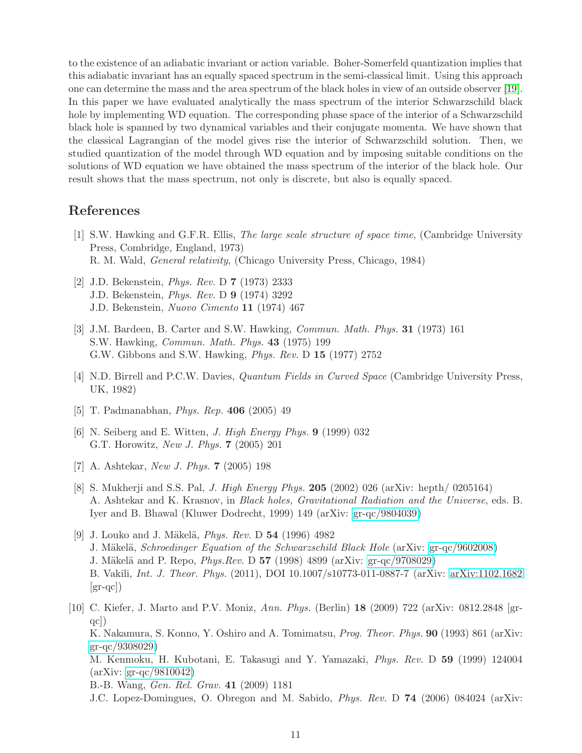to the existence of an adiabatic invariant or action variable. Boher-Somerfeld quantization implies that this adiabatic invariant has an equally spaced spectrum in the semi-classical limit. Using this approach one can determine the mass and the area spectrum of the black holes in view of an outside observer [\[19\]](#page-11-9). In this paper we have evaluated analytically the mass spectrum of the interior Schwarzschild black hole by implementing WD equation. The corresponding phase space of the interior of a Schwarzschild black hole is spanned by two dynamical variables and their conjugate momenta. We have shown that the classical Lagrangian of the model gives rise the interior of Schwarzschild solution. Then, we studied quantization of the model through WD equation and by imposing suitable conditions on the solutions of WD equation we have obtained the mass spectrum of the interior of the black hole. Our result shows that the mass spectrum, not only is discrete, but also is equally spaced.

# <span id="page-10-0"></span>References

- [1] S.W. Hawking and G.F.R. Ellis, The large scale structure of space time, (Cambridge University Press, Combridge, England, 1973) R. M. Wald, General relativity, (Chicago University Press, Chicago, 1984)
- <span id="page-10-1"></span>[2] J.D. Bekenstein, Phys. Rev. D 7 (1973) 2333 J.D. Bekenstein, Phys. Rev. D 9 (1974) 3292 J.D. Bekenstein, Nuovo Cimento 11 (1974) 467
- <span id="page-10-2"></span>[3] J.M. Bardeen, B. Carter and S.W. Hawking, Commun. Math. Phys. 31 (1973) 161 S.W. Hawking, Commun. Math. Phys. 43 (1975) 199 G.W. Gibbons and S.W. Hawking, Phys. Rev. D 15 (1977) 2752
- <span id="page-10-4"></span><span id="page-10-3"></span>[4] N.D. Birrell and P.C.W. Davies, Quantum Fields in Curved Space (Cambridge University Press, UK, 1982)
- <span id="page-10-5"></span>[5] T. Padmanabhan, Phys. Rep. 406 (2005) 49
- [6] N. Seiberg and E. Witten, J. High Energy Phys. 9 (1999) 032 G.T. Horowitz, New J. Phys. 7 (2005) 201
- <span id="page-10-7"></span><span id="page-10-6"></span>[7] A. Ashtekar, New J. Phys. 7 (2005) 198
- [8] S. Mukherji and S.S. Pal, J. High Energy Phys. 205 (2002) 026 (arXiv: hepth/ 0205164) A. Ashtekar and K. Krasnov, in Black holes, Gravitational Radiation and the Universe, eds. B. Iyer and B. Bhawal (Kluwer Dodrecht, 1999) 149 (arXiv: [gr-qc/9804039\)](http://arxiv.org/abs/gr-qc/9804039)
- <span id="page-10-8"></span>[9] J. Louko and J. Mäkelä, *Phys. Rev.* D  $54$  (1996) 4982 J. Mäkelä, Schroedinger Equation of the Schwarzschild Black Hole (arXiv: [gr-qc/9602008\)](http://arxiv.org/abs/gr-qc/9602008) J. Mäkelä and P. Repo,  $Phys. Rev. D$  57 (1998) 4899 (arXiv: [gr-qc/9708029\)](http://arxiv.org/abs/gr-qc/9708029) B. Vakili, Int. J. Theor. Phys. (2011), DOI 10.1007/s10773-011-0887-7 (arXiv: [arXiv:1102.1682](http://arxiv.org/abs/1102.1682)  $|gr-qc|$ )
- <span id="page-10-9"></span>[10] C. Kiefer, J. Marto and P.V. Moniz, Ann. Phys. (Berlin) 18 (2009) 722 (arXiv: 0812.2848 [grqc]) K. Nakamura, S. Konno, Y. Oshiro and A. Tomimatsu, *Prog. Theor. Phys.* **90** (1993) 861 (arXiv: [gr-qc/9308029\)](http://arxiv.org/abs/gr-qc/9308029) M. Kenmoku, H. Kubotani, E. Takasugi and Y. Yamazaki, Phys. Rev. D 59 (1999) 124004 (arXiv: [gr-qc/9810042\)](http://arxiv.org/abs/gr-qc/9810042) B.-B. Wang, Gen. Rel. Grav. 41 (2009) 1181 J.C. Lopez-Domingues, O. Obregon and M. Sabido, Phys. Rev. D 74 (2006) 084024 (arXiv: